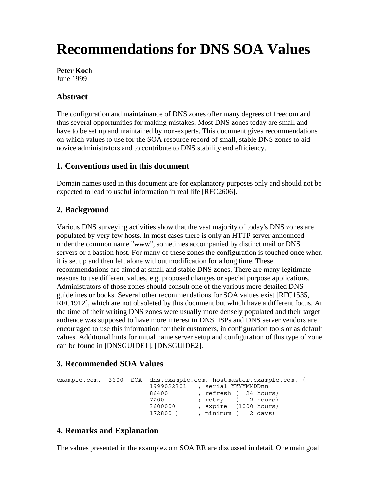# **Recommendations for DNS SOA Values**

**Peter Koch** June 1999

## **Abstract**

The configuration and maintainance of DNS zones offer many degrees of freedom and thus several opportunities for making mistakes. Most DNS zones today are small and have to be set up and maintained by non-experts. This document gives recommendations on which values to use for the SOA resource record of small, stable DNS zones to aid novice administrators and to contribute to DNS stability end efficiency.

#### **1. Conventions used in this document**

Domain names used in this document are for explanatory purposes only and should not be expected to lead to useful information in real life [RFC2606].

#### **2. Background**

Various DNS surveying activities show that the vast majority of today's DNS zones are populated by very few hosts. In most cases there is only an HTTP server announced under the common name "www", sometimes accompanied by distinct mail or DNS servers or a bastion host. For many of these zones the configuration is touched once when it is set up and then left alone without modification for a long time. These recommendations are aimed at small and stable DNS zones. There are many legitimate reasons to use different values, e.g. proposed changes or special purpose applications. Administrators of those zones should consult one of the various more detailed DNS guidelines or books. Several other recommendations for SOA values exist [RFC1535, RFC1912], which are not obsoleted by this document but which have a different focus. At the time of their writing DNS zones were usually more densely populated and their target audience was supposed to have more interest in DNS. ISPs and DNS server vendors are encouraged to use this information for their customers, in configuration tools or as default values. Additional hints for initial name server setup and configuration of this type of zone can be found in [DNSGUIDE1], [DNSGUIDE2].

## **3. Recommended SOA Values**

```
example.com. 3600 SOA dns.example.com. hostmaster.example.com. (
                1999022301 ; serial YYYYMMDDnn
                86400 ; refresh ( 24 hours)
7200 ; retry ( 2 hours)
3600000 ; expire (1000 hours)
172800 ) ; minimum ( 2 days)
```
## **4. Remarks and Explanation**

The values presented in the example.com SOA RR are discussed in detail. One main goal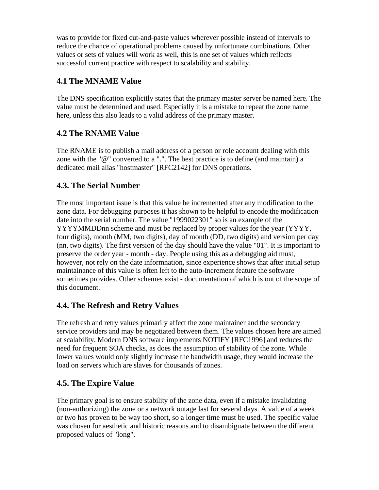was to provide for fixed cut-and-paste values wherever possible instead of intervals to reduce the chance of operational problems caused by unfortunate combinations. Other values or sets of values will work as well, this is one set of values which reflects successful current practice with respect to scalability and stability.

# **4.1 The MNAME Value**

The DNS specification explicitly states that the primary master server be named here. The value must be determined and used. Especially it is a mistake to repeat the zone name here, unless this also leads to a valid address of the primary master.

## **4.2 The RNAME Value**

The RNAME is to publish a mail address of a person or role account dealing with this zone with the "@" converted to a ".". The best practice is to define (and maintain) a dedicated mail alias "hostmaster" [RFC2142] for DNS operations.

## **4.3. The Serial Number**

The most important issue is that this value be incremented after any modification to the zone data. For debugging purposes it has shown to be helpful to encode the modification date into the serial number. The value "1999022301" so is an example of the YYYYMMDDnn scheme and must be replaced by proper values for the year (YYYY, four digits), month (MM, two digits), day of month (DD, two digits) and version per day (nn, two digits). The first version of the day should have the value "01". It is important to preserve the order year - month - day. People using this as a debugging aid must, however, not rely on the date informnation, since experience shows that after initial setup maintainance of this value is often left to the auto-increment feature the software sometimes provides. Other schemes exist - documentation of which is out of the scope of this document.

## **4.4. The Refresh and Retry Values**

The refresh and retry values primarily affect the zone maintainer and the secondary service providers and may be negotiated between them. The values chosen here are aimed at scalability. Modern DNS software implements NOTIFY [RFC1996] and reduces the need for frequent SOA checks, as does the assumption of stability of the zone. While lower values would only slightly increase the bandwidth usage, they would increase the load on servers which are slaves for thousands of zones.

## **4.5. The Expire Value**

The primary goal is to ensure stability of the zone data, even if a mistake invalidating (non-authorizing) the zone or a network outage last for several days. A value of a week or two has proven to be way too short, so a longer time must be used. The specific value was chosen for aesthetic and historic reasons and to disambiguate between the different proposed values of "long".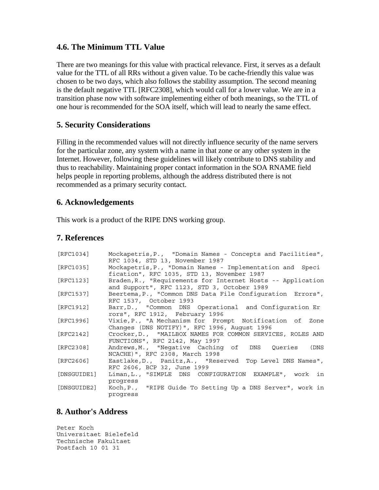#### **4.6. The Minimum TTL Value**

There are two meanings for this value with practical relevance. First, it serves as a default value for the TTL of all RRs without a given value. To be cache-friendly this value was chosen to be two days, which also follows the stability assumption. The second meaning is the default negative TTL [RFC2308], which would call for a lower value. We are in a transition phase now with software implementing either of both meanings, so the TTL of one hour is recommended for the SOA itself, which will lead to nearly the same effect.

#### **5. Security Considerations**

Filling in the recommended values will not directly influence security of the name servers for the particular zone, any system with a name in that zone or any other system in the Internet. However, following these guidelines will likely contribute to DNS stability and thus to reachability. Maintaining proper contact information in the SOA RNAME field helps people in reporting problems, although the address distributed there is not recommended as a primary security contact.

#### **6. Acknowledgements**

This work is a product of the RIPE DNS working group.

#### **7. References**

| [RFC1034]   | Mockapetris, P., "Domain Names - Concepts and Facilities",                                                 |
|-------------|------------------------------------------------------------------------------------------------------------|
|             | RFC 1034, STD 13, November 1987                                                                            |
| [RFC1035]   | Mockapetris, P., "Domain Names - Implementation and Speci                                                  |
|             | fication", RFC 1035, STD 13, November 1987                                                                 |
| [RFC1123]   | Braden, R., "Requirements for Internet Hosts -- Application<br>and Support", RFC 1123, STD 3, October 1989 |
| [RFC1537]   | Beertema, P., "Common DNS Data File Configuration Errors",                                                 |
|             | RFC 1537, October 1993                                                                                     |
| [RFC1912]   | Barr, D., "Common DNS Operational and Configuration Er<br>rors", RFC 1912, February 1996                   |
| [RFC1996]   | Vixie, P., "A Mechanism for Prompt Notification of Zone                                                    |
|             | Changes (DNS NOTIFY)", RFC 1996, August 1996                                                               |
| [RFC2142]   | Crocker, D., "MAILBOX NAMES FOR COMMON SERVICES, ROLES AND                                                 |
|             | FUNCTIONS", RFC 2142, May 1997                                                                             |
| [RFC2308]   | Andrews, M., "Negative Caching of DNS Queries (DNS                                                         |
|             | NCACHE) ", RFC 2308, March 1998                                                                            |
| [RFC2606]   | Eastlake, D., Panitz, A., "Reserved Top Level DNS Names",                                                  |
|             | RFC 2606, BCP 32, June 1999                                                                                |
| [DNSGUIDE1] | Liman, L., "SIMPLE DNS CONFIGURATION EXAMPLE", work in                                                     |
|             | progress                                                                                                   |
| [DNSGUIDE2] | Koch, P., "RIPE Guide To Setting Up a DNS Server", work in                                                 |
|             | progress                                                                                                   |

## **8. Author's Address**

Peter Koch Universitaet Bielefeld Technische Fakultaet Postfach 10 01 31